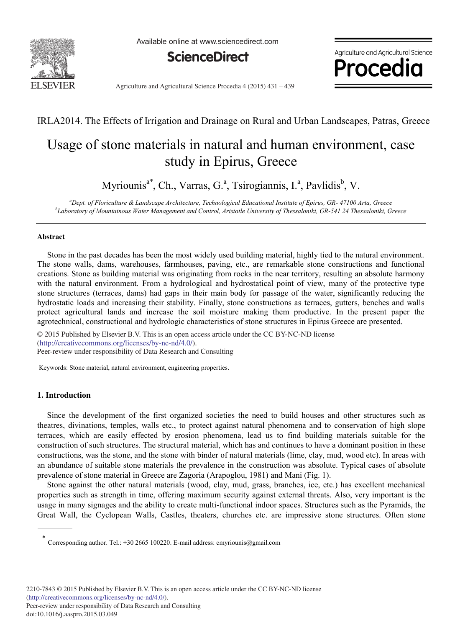

Available online at www.sciencedirect.com



Agriculture and Agricultural Science Procedia

Agriculture and Agricultural Science Procedia 4 (2015) 431 - 439

### IRLA2014. The Effects of Irrigation and Drainage on Rural and Urban Landscapes, Patras, Greece

## Usage of stone materials in natural and human environment, case study in Epirus, Greece

Myriounis<sup>a\*</sup>, Ch., Varras, G.<sup>a</sup>, Tsirogiannis, I.<sup>a</sup>, Pavlidis<sup>b</sup>, V.

*a Dept. of Floriculture & Landscape Architecture, Technological Educational Institute of Epirus, GR- 47100 Arta, Greece b Laboratory of Mountainous Water Management and Control, Aristotle University of Thessaloniki, GR-541 24 Thessaloniki, Greece*

#### **Abstract**

Stone in the past decades has been the most widely used building material, highly tied to the natural environment. The stone walls, dams, warehouses, farmhouses, paving, etc., are remarkable stone constructions and functional creations. Stone as building material was originating from rocks in the near territory, resulting an absolute harmony with the natural environment. From a hydrological and hydrostatical point of view, many of the protective type stone structures (terraces, dams) had gaps in their main body for passage of the water, significantly reducing the hydrostatic loads and increasing their stability. Finally, stone constructions as terraces, gutters, benches and walls protect agricultural lands and increase the soil moisture making them productive. In the present paper the agrotechnical, constructional and hydrologic characteristics of stone structures in Epirus Greece are presented.

(http://creativecommons.org/licenses/by-nc-nd/4.0/). Peer-review under responsibility of Data Research and Consulting © 2015 Published by Elsevier B.V. This is an open access article under the CC BY-NC-ND license

Keywords: Stone material, natural environment, engineering properties.

#### **1. Introduction**

Since the development of the first organized societies the need to build houses and other structures such as theatres, divinations, temples, walls etc., to protect against natural phenomena and to conservation of high slope terraces, which are easily effected by erosion phenomena, lead us to find building materials suitable for the construction of such structures. The structural material, which has and continues to have a dominant position in these constructions, was the stone, and the stone with binder of natural materials (lime, clay, mud, wood etc). In areas with an abundance of suitable stone materials the prevalence in the construction was absolute. Typical cases of absolute prevalence of stone material in Greece are Zagoria (Arapoglou, 1981) and Mani (Fig. 1).

Stone against the other natural materials (wood, clay, mud, grass, branches, ice, etc.) has excellent mechanical properties such as strength in time, offering maximum security against external threats. Also, very important is the usage in many signages and the ability to create multi-functional indoor spaces. Structures such as the Pyramids, the Great Wall, the Cyclopean Walls, Castles, theaters, churches etc. are impressive stone structures. Often stone

Corresponding author. Tel.: +30 2665 100220. E-mail address: cmyriounis@gmail.com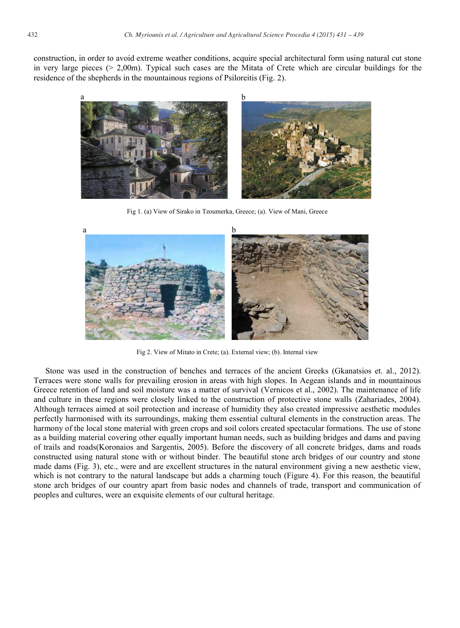construction, in order to avoid extreme weather conditions, acquire special architectural form using natural cut stone in very large pieces ( $> 2,00$ m). Typical such cases are the Mitata of Crete which are circular buildings for the residence of the shepherds in the mountainous regions of Psiloreitis (Fig. 2).



Fig 1. (a) View of Sirako in Tzoumerka, Greece; (a). View of Mani, Greece



Fig 2. View of Mitato in Crete; (a). External view; (b). Internal view

Stone was used in the construction of benches and terraces of the ancient Greeks (Gkanatsios et. al., 2012). Terraces were stone walls for prevailing erosion in areas with high slopes. In Aegean islands and in mountainous Greece retention of land and soil moisture was a matter of survival (Vernicos et al., 2002). The maintenance of life and culture in these regions were closely linked to the construction of protective stone walls (Zahariades, 2004). Although terraces aimed at soil protection and increase of humidity they also created impressive aesthetic modules perfectly harmonised with its surroundings, making them essential cultural elements in the construction areas. The harmony of the local stone material with green crops and soil colors created spectacular formations. The use of stone as a building material covering other equally important human needs, such as building bridges and dams and paving of trails and roads(Koronaios and Sargentis, 2005). Before the discovery of all concrete bridges, dams and roads constructed using natural stone with or without binder. The beautiful stone arch bridges of our country and stone made dams (Fig. 3), etc., were and are excellent structures in the natural environment giving a new aesthetic view, which is not contrary to the natural landscape but adds a charming touch (Figure 4). For this reason, the beautiful stone arch bridges of our country apart from basic nodes and channels of trade, transport and communication of peoples and cultures, were an exquisite elements of our cultural heritage.